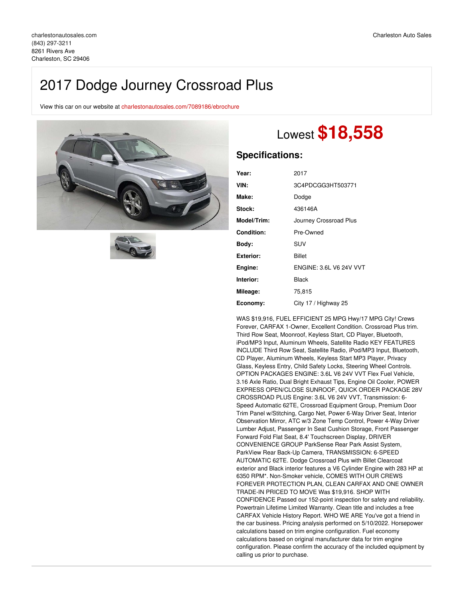## 2017 Dodge Journey Crossroad Plus

View this car on our website at [charlestonautosales.com/7089186/ebrochure](https://charlestonautosales.com/vehicle/7089186/2017-dodge-journey-crossroad-plus-charleston-sc-29406/7089186/ebrochure)





# Lowest **\$18,558**

### **Specifications:**

| Year:       | 2017                           |  |
|-------------|--------------------------------|--|
| VIN:        | 3C4PDCGG3HT503771              |  |
| Make:       | Dodge                          |  |
| Stock:      | 436146A                        |  |
| Model/Trim: | Journey Crossroad Plus         |  |
| Condition:  | Pre-Owned                      |  |
| Bodv:       | SUV                            |  |
| Exterior:   | <b>Billet</b>                  |  |
| Engine:     | <b>ENGINE: 3.6L V6 24V VVT</b> |  |
| Interior:   | <b>Black</b>                   |  |
| Mileage:    | 75,815                         |  |
| Economy:    | City 17 / Highway 25           |  |

WAS \$19,916, FUEL EFFICIENT 25 MPG Hwy/17 MPG City! Crews Forever, CARFAX 1-Owner, Excellent Condition. Crossroad Plus trim. Third Row Seat, Moonroof, Keyless Start, CD Player, Bluetooth, iPod/MP3 Input, Aluminum Wheels, Satellite Radio KEY FEATURES INCLUDE Third Row Seat, Satellite Radio, iPod/MP3 Input, Bluetooth, CD Player, Aluminum Wheels, Keyless Start MP3 Player, Privacy Glass, Keyless Entry, Child Safety Locks, Steering Wheel Controls. OPTION PACKAGES ENGINE: 3.6L V6 24V VVT Flex Fuel Vehicle, 3.16 Axle Ratio, Dual Bright Exhaust Tips, Engine Oil Cooler, POWER EXPRESS OPEN/CLOSE SUNROOF, QUICK ORDER PACKAGE 28V CROSSROAD PLUS Engine: 3.6L V6 24V VVT, Transmission: 6- Speed Automatic 62TE, Crossroad Equipment Group, Premium Door Trim Panel w/Stitching, Cargo Net, Power 6-Way Driver Seat, Interior Observation Mirror, ATC w/3 Zone Temp Control, Power 4-Way Driver Lumber Adjust, Passenger In Seat Cushion Storage, Front Passenger Forward Fold Flat Seat, 8.4' Touchscreen Display, DRIVER CONVENIENCE GROUP ParkSense Rear Park Assist System, ParkView Rear Back-Up Camera, TRANSMISSION: 6-SPEED AUTOMATIC 62TE. Dodge Crossroad Plus with Billet Clearcoat exterior and Black interior features a V6 Cylinder Engine with 283 HP at 6350 RPM\*. Non-Smoker vehicle, COMES WITH OUR CREWS FOREVER PROTECTION PLAN, CLEAN CARFAX AND ONE OWNER TRADE-IN PRICED TO MOVE Was \$19,916. SHOP WITH CONFIDENCE Passed our 152-point inspection for safety and reliability. Powertrain Lifetime Limited Warranty. Clean title and includes a free CARFAX Vehicle History Report. WHO WE ARE You've got a friend in the car business. Pricing analysis performed on 5/10/2022. Horsepower calculations based on trim engine configuration. Fuel economy calculations based on original manufacturer data for trim engine configuration. Please confirm the accuracy of the included equipment by calling us prior to purchase.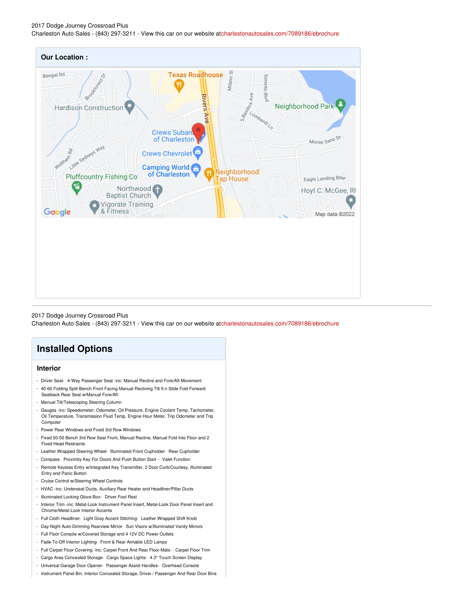2017 Dodge Journey Crossroad Plus Charleston Auto Sales - (843) 297-3211 - View this car on our website a[tcharlestonautosales.com/7089186/ebrochure](https://charlestonautosales.com/vehicle/7089186/2017-dodge-journey-crossroad-plus-charleston-sc-29406/7089186/ebrochure)



2017 Dodge Journey Crossroad Plus Charleston Auto Sales - (843) 297-3211 - View this car on our website a[tcharlestonautosales.com/7089186/ebrochure](https://charlestonautosales.com/vehicle/7089186/2017-dodge-journey-crossroad-plus-charleston-sc-29406/7089186/ebrochure)

## **Installed Options**

#### **Interior**

- Driver Seat- 4-Way Passenger Seat -inc: Manual Recline and Fore/Aft Movement
- 40-60 Folding Split-Bench Front Facing Manual Reclining Tilt ft.n Slide Fold Forward Seatback Rear Seat w/Manual Fore/Aft
- Manual Tilt/Telescoping Steering Column
- Gauges -inc: Speedometer, Odometer, Oil Pressure, Engine Coolant Temp, Tachometer, Oil Temperature, Transmission Fluid Temp, Engine Hour Meter, Trip Odometer and Trip Computer
- Power Rear Windows and Fixed 3rd Row Windows
- Fixed 50-50 Bench 3rd Row Seat Front, Manual Recline, Manual Fold Into Floor and 2 Fixed Head Restraints
- Leather Wrapped Steering Wheel- Illuminated Front Cupholder- Rear Cupholder
- Compass- Proximity Key For Doors And Push Button Start Valet Function
- Remote Keyless Entry w/Integrated Key Transmitter, 2 Door Curb/Courtesy, Illuminated Entry and Panic Button
- Cruise Control w/Steering Wheel Controls
- HVAC -inc: Underseat Ducts, Auxiliary Rear Heater and Headliner/Pillar Ducts
- Illuminated Locking Glove Box- Driver Foot Rest
- Interior Trim -inc: Metal-Look Instrument Panel Insert, Metal-Look Door Panel Insert and Chrome/Metal-Look Interior Accents
- Full Cloth Headliner- Light Gray Accent Stitching- Leather Wrapped Shift Knob
- Day-Night Auto-Dimming Rearview Mirror- Sun Visors w/Illuminated Vanity Mirrors
- Full Floor Console w/Covered Storage and 4 12V DC Power Outlets
- Fade-To-Off Interior Lighting- Front & Rear Aimable LED Lamps
- Full Carpet Floor Covering -inc: Carpet Front And Rear Floor Mats Carpet Floor Trim
- Cargo Area Concealed Storage- Cargo Space Lights- 4.3" Touch Screen Display
- Universal Garage Door Opener- Passenger Assist Handles- Overhead Console
- Instrument Panel Bin, Interior Concealed Storage, Driver / Passenger And Rear Door Bins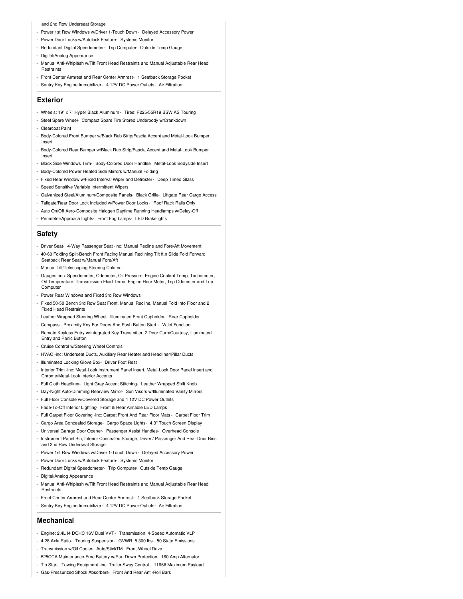#### and 2nd Row Underseat Storage

- Power 1st Row Windows w/Driver 1-Touch Down Delayed Accessory Power
- Power Door Locks w/Autolock Feature- Systems Monitor
- Redundant Digital Speedometer- Trip Computer- Outside Temp Gauge
- Digital/Analog Appearance
- Manual Anti-Whiplash w/Tilt Front Head Restraints and Manual Adjustable Rear Head Restraints
- Front Center Armrest and Rear Center Armrest- 1 Seatback Storage Pocket
- Sentry Key Engine Immobilizer- 4 12V DC Power Outlets- Air Filtration

#### **Exterior**

- Wheels: 19" x 7" Hyper Black Aluminum Tires: P225/55R19 BSW AS Touring
- Steel Spare Wheel- Compact Spare Tire Stored Underbody w/Crankdown
- Clearcoat Paint
- Body-Colored Front Bumper w/Black Rub Strip/Fascia Accent and Metal-Look Bumper Insert
- Body-Colored Rear Bumper w/Black Rub Strip/Fascia Accent and Metal-Look Bumper Insert
- Black Side Windows Trim- Body-Colored Door Handles- Metal-Look Bodyside Insert
- Body-Colored Power Heated Side Mirrors w/Manual Folding
- Fixed Rear Window w/Fixed Interval Wiper and Defroster- Deep Tinted Glass
- Speed Sensitive Variable Intermittent Wipers
- Galvanized Steel/Aluminum/Composite Panels- Black Grille- Liftgate Rear Cargo Access
- Tailgate/Rear Door Lock Included w/Power Door Locks Roof Rack Rails Only
- Auto On/Off Aero-Composite Halogen Daytime Running Headlamps w/Delay-Off
- Perimeter/Approach Lights- Front Fog Lamps- LED Brakelights

#### **Safety**

- Driver Seat- 4-Way Passenger Seat -inc: Manual Recline and Fore/Aft Movement
- 40-60 Folding Split-Bench Front Facing Manual Reclining Tilt ft.n Slide Fold Forward Seatback Rear Seat w/Manual Fore/Aft
- Manual Tilt/Telescoping Steering Column
- Gauges -inc: Speedometer, Odometer, Oil Pressure, Engine Coolant Temp, Tachometer, Oil Temperature, Transmission Fluid Temp, Engine Hour Meter, Trip Odometer and Trip **Compute**
- Power Rear Windows and Fixed 3rd Row Windows
- Fixed 50-50 Bench 3rd Row Seat Front, Manual Recline, Manual Fold Into Floor and 2 Fixed Head Restraints
- Leather Wrapped Steering Wheel- Illuminated Front Cupholder- Rear Cupholder
- Compass- Proximity Key For Doors And Push Button Start Valet Function
- Remote Keyless Entry w/Integrated Key Transmitter, 2 Door Curb/Courtesy, Illuminated Entry and Panic Button
- Cruise Control w/Steering Wheel Controls
- HVAC -inc: Underseat Ducts, Auxiliary Rear Heater and Headliner/Pillar Ducts
- Illuminated Locking Glove Box- Driver Foot Rest
- Interior Trim -inc: Metal-Look Instrument Panel Insert, Metal-Look Door Panel Insert and Chrome/Metal-Look Interior Accents
- Full Cloth Headliner- Light Gray Accent Stitching- Leather Wrapped Shift Knob
- Day-Night Auto-Dimming Rearview Mirror- Sun Visors w/Illuminated Vanity Mirrors
- Full Floor Console w/Covered Storage and 4 12V DC Power Outlets
- Fade-To-Off Interior Lighting- Front & Rear Aimable LED Lamps
- Full Carpet Floor Covering -inc: Carpet Front And Rear Floor Mats Carpet Floor Trim
- Cargo Area Concealed Storage- Cargo Space Lights- 4.3" Touch Screen Display
- Universal Garage Door Opener- Passenger Assist Handles- Overhead Console
- Instrument Panel Bin, Interior Concealed Storage, Driver / Passenger And Rear Door Bins and 2nd Row Underseat Storage
- Power 1st Row Windows w/Driver 1-Touch Down Delayed Accessory Power
- Power Door Locks w/Autolock Feature- Systems Monitor
- Redundant Digital Speedometer- Trip Computer- Outside Temp Gauge
- Digital/Analog Appearance
- Manual Anti-Whiplash w/Tilt Front Head Restraints and Manual Adjustable Rear Head **Restraints**
- Front Center Armrest and Rear Center Armrest- 1 Seatback Storage Pocket
- Sentry Key Engine Immobilizer- 4 12V DC Power Outlets- Air Filtration

#### **Mechanical**

- Engine: 2.4L I4 DOHC 16V Dual VVT- Transmission: 4-Speed Automatic VLP
- 4.28 Axle Ratio- Touring Suspension- GVWR: 5,300 lbs- 50 State Emissions
- Transmission w/Oil Cooler- Auto/StickTM- Front-Wheel Drive
- 525CCA Maintenance-Free Battery w/Run Down Protection- 160 Amp Alternator
- Tip Start- Towing Equipment -inc: Trailer Sway Control 1165# Maximum Payload
- Gas-Pressurized Shock Absorbers- Front And Rear Anti-Roll Bars